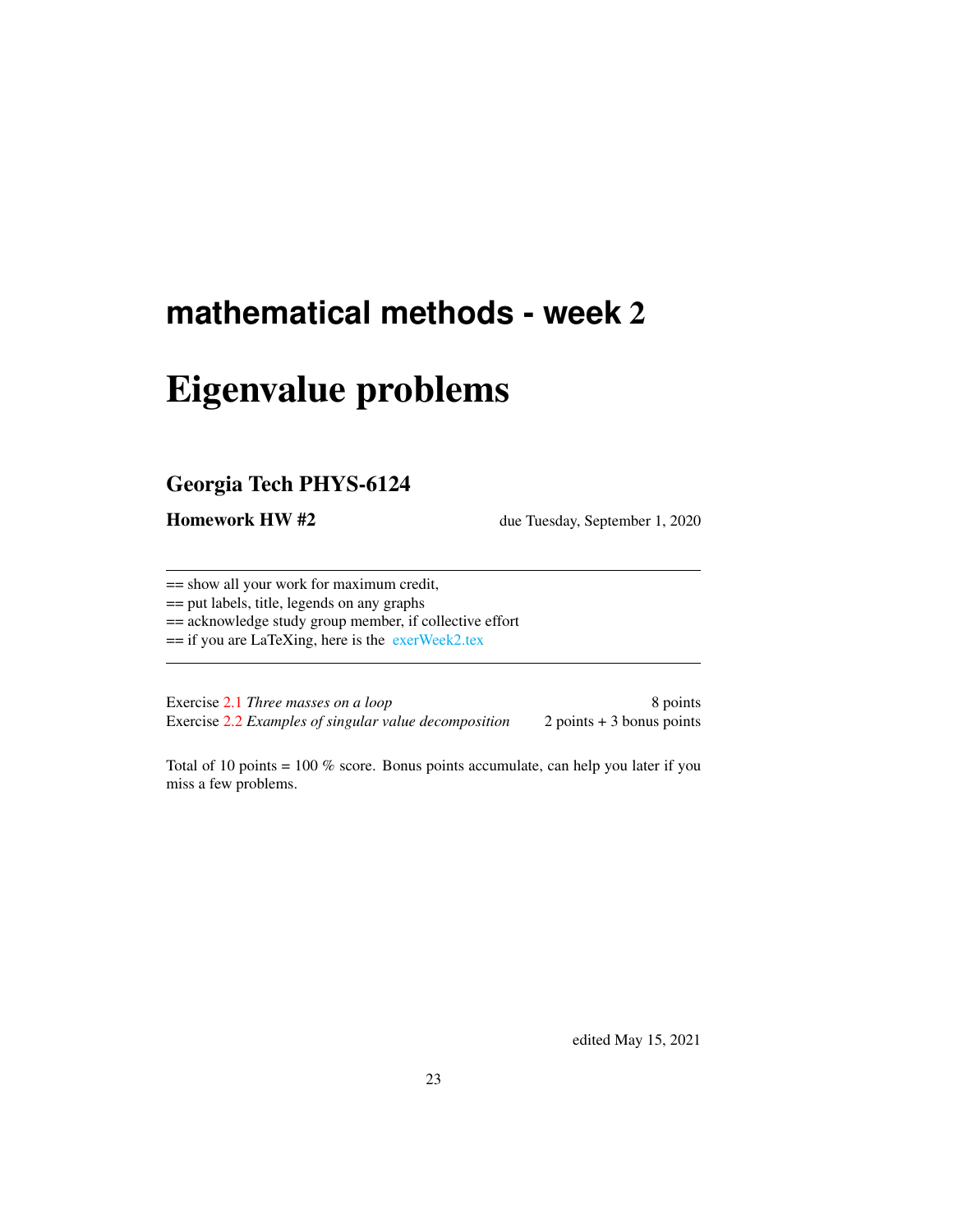## **mathematical methods - week** 2

# Eigenvalue problems

## Georgia Tech PHYS-6124

Homework HW #2 due Tuesday, September 1, 2020

== show all your work for maximum credit,

== put labels, title, legends on any graphs

== acknowledge study group member, if collective effort

== if you are LaTeXing, here is the [exerWeek2.tex](http://ChaosBook.org/course2/exerWeek2.tex)

Exercise [2.1](#page-13-0) *Three masses on a loop* 8 points Exercise [2.2](#page-13-1) *Examples of singular value decomposition* 2 points + 3 bonus points

Total of 10 points = 100 % score. Bonus points accumulate, can help you later if you miss a few problems.

edited May 15, 2021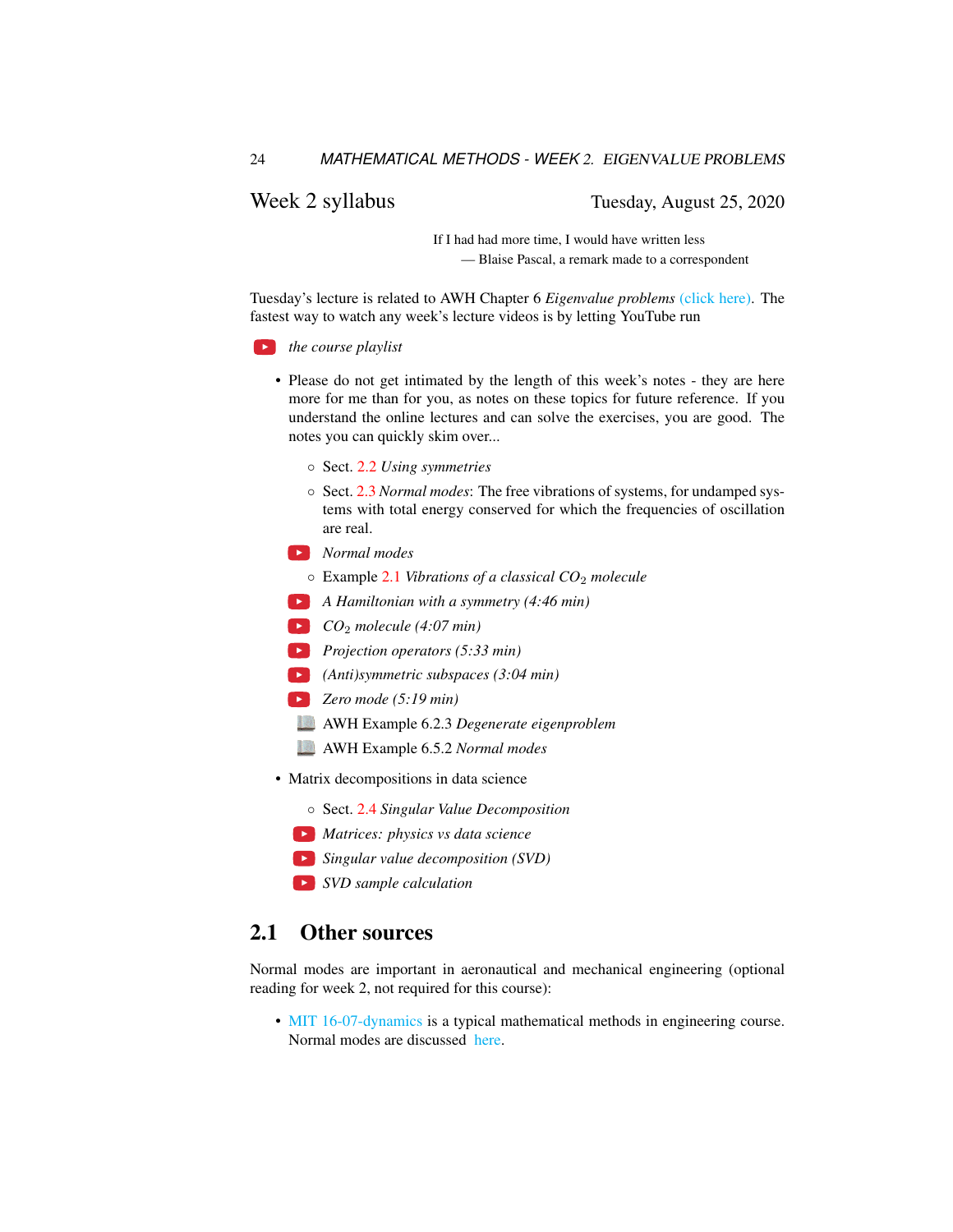## Week 2 syllabus Tuesday, August 25, 2020

If I had had more time, I would have written less — Blaise Pascal, a remark made to a correspondent

Tuesday's lecture is related to AWH Chapter 6 *Eigenvalue problems* [\(click here\).](http://ChaosBook.org/library/ArWeHa13chap6EigenvalueProbs.pdf) The fastest way to watch any week's lecture videos is by letting YouTube run

*the course playlist*

- Please do not get intimated by the length of this week's notes they are here more for me than for you, as notes on these topics for future reference. If you understand the online lectures and can solve the exercises, you are good. The notes you can quickly skim over...
	- Sect. [2.2](#page-2-0) *Using symmetries*
	- Sect. [2.3](#page-3-0) *Normal modes*: The free vibrations of systems, for undamped systems with total energy conserved for which the frequencies of oscillation are real.
	- *Normal modes*
		- Example [2.1](#page-7-0) *Vibrations of a classical CO*<sup>2</sup> *molecule*
	- *A Hamiltonian with a symmetry (4:46 min)*
	- *CO*<sup>2</sup> *molecule (4:07 min)*
	- *Projection operators (5:33 min)*
	- *(Anti)symmetric subspaces (3:04 min)*
	- *Zero mode (5:19 min)*
	- AWH Example 6.2.3 *Degenerate eigenproblem*
	- AWH Example 6.5.2 *Normal modes*
- Matrix decompositions in data science
	- Sect. [2.4](#page-3-1) *Singular Value Decomposition*
	- *Matrices: physics vs data science*
	- *Singular value decomposition (SVD)*
	- *SVD sample calculation*

## 2.1 Other sources

Normal modes are important in aeronautical and mechanical engineering (optional reading for week 2, not required for this course):

• [MIT 16-07-dynamics](https://ocw.mit.edu/courses/aeronautics-and-astronautics/16-07-dynamics-fall-2009) is a typical mathematical methods in engineering course. Normal modes are discussed [here.](https://ocw.mit.edu/courses/aeronautics-and-astronautics/16-07-dynamics-fall-2009/lecture-notes/MIT16_07F09_Lec19.pdf)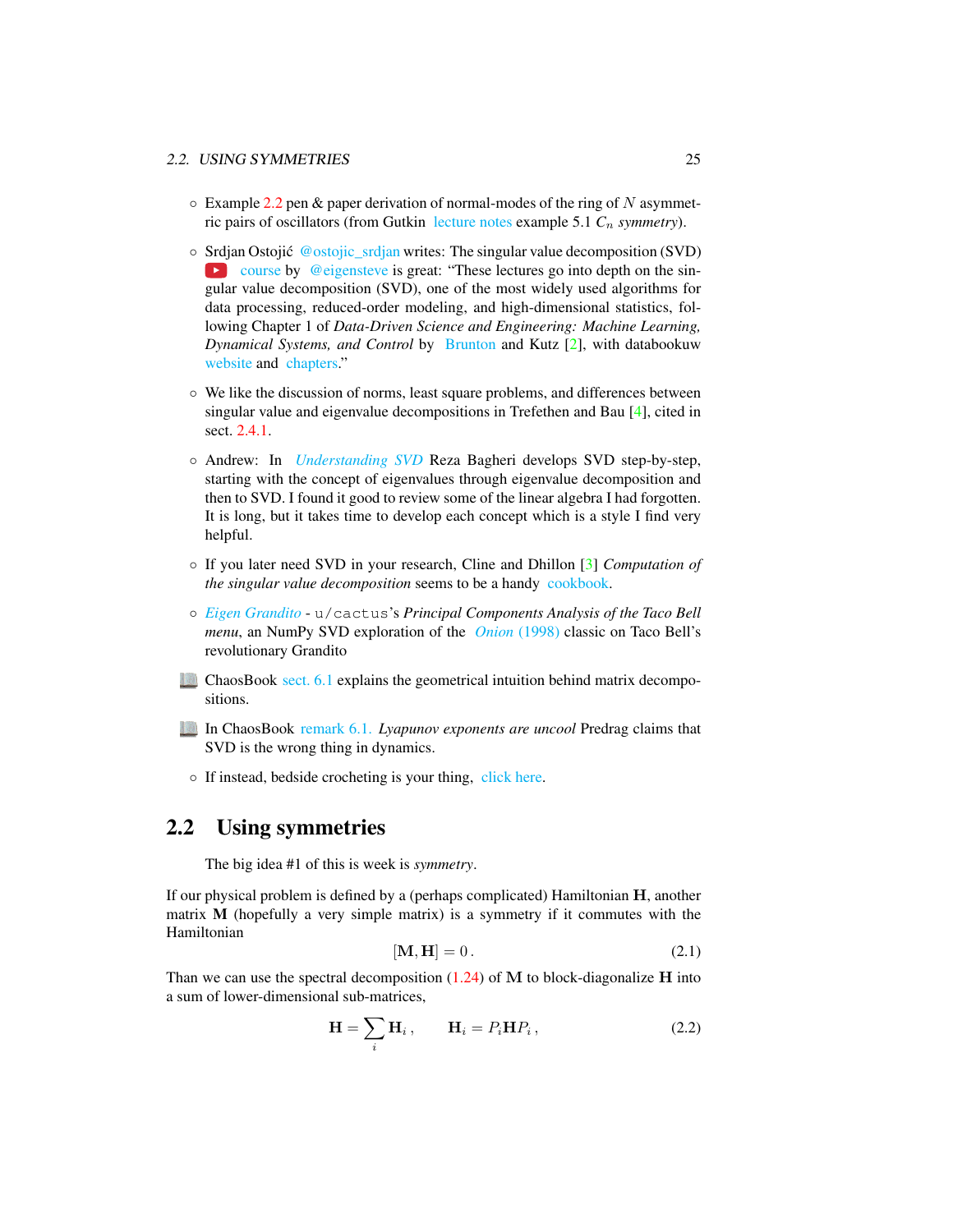- $\circ$  Example [2.2](#page-9-0) pen & paper derivation of normal-modes of the ring of N asymmetric pairs of oscillators (from Gutkin [lecture notes](http://birdtracks.eu/courses/PHYS-7143-19/groups.pdf) example 5.1  $C_n$  *symmetry*).
- Srdjan Ostojic´ [@ostojic\\_srdjan](https://twitter.com/ostojic_srdjan/status/1296748282765553669) writes: The singular value decomposition (SVD)  $\bullet$  [course](https://www.youtube.com/playlist?list=PLMrJAkhIeNNSVjnsviglFoY2nXildDCcv) by [@eigensteve](https://twitter.com/eigensteve) is great: "These lectures go into depth on the singular value decomposition (SVD), one of the most widely used algorithms for data processing, reduced-order modeling, and high-dimensional statistics, following Chapter 1 of *Data-Driven Science and Engineering: Machine Learning, Dynamical Systems, and Control* by [Brunton](http://eigensteve.com) and Kutz [\[2\]](#page-7-1), with databookuw [website](http://databookuw.com) and [chapters.](http://databookuw.com/databook.pdf)"
- We like the discussion of norms, least square problems, and differences between singular value and eigenvalue decompositions in Trefethen and Bau [\[4\]](#page-7-2), cited in sect. [2.4.1.](#page-6-0)
- Andrew: In *[Understanding SVD](https://towardsdatascience.com/understanding-singular-value-decomposition-and-its-application-in-data-science-388a54be95d)* Reza Bagheri develops SVD step-by-step, starting with the concept of eigenvalues through eigenvalue decomposition and then to SVD. I found it good to review some of the linear algebra I had forgotten. It is long, but it takes time to develop each concept which is a style I find very helpful.
- If you later need SVD in your research, Cline and Dhillon [\[3\]](#page-7-3) *Computation of the singular value decomposition* seems to be a handy [cookbook.](http://www.cs.utexas.edu/~inderjit/public_papers/HLA_SVD.pdf)
- *[Eigen Grandito](https://www.reddit.com/r/math/comments/k3ia4q/eigen_grandito_principal_components_analysis_of/)* u/cactus's *Principal Components Analysis of the Taco Bell menu*, an NumPy SVD exploration of the *Onion* [\(1998\)](https://www.theonion.com/taco-bells-five-ingredients-combined-in-totally-new-way-1819564909) classic on Taco Bell's revolutionary Grandito
- ChaosBook [sect. 6.1](http://ChaosBook.org/chapters/ChaosBook.pdf#section.6.1) explains the geometrical intuition behind matrix decompositions.
- In ChaosBook [remark 6.1.](http://ChaosBook.org/chapters/ChaosBook.pdf#section.6.2) *Lyapunov exponents are uncool* Predrag claims that SVD is the wrong thing in dynamics.
- If instead, bedside crocheting is your thing, [click here.](http://www.theiff.org/oexhibits/oe1e.html)

## <span id="page-2-0"></span>2.2 Using symmetries

The big idea #1 of this is week is *symmetry*.

If our physical problem is defined by a (perhaps complicated) Hamiltonian H, another matrix M (hopefully a very simple matrix) is a symmetry if it commutes with the Hamiltonian

$$
[\mathbf{M}, \mathbf{H}] = 0. \tag{2.1}
$$

Than we can use the spectral decomposition  $(1.24)$  of M to block-diagonalize H into a sum of lower-dimensional sub-matrices,

$$
\mathbf{H} = \sum_{i} \mathbf{H}_{i}, \qquad \mathbf{H}_{i} = P_{i} \mathbf{H} P_{i}, \qquad (2.2)
$$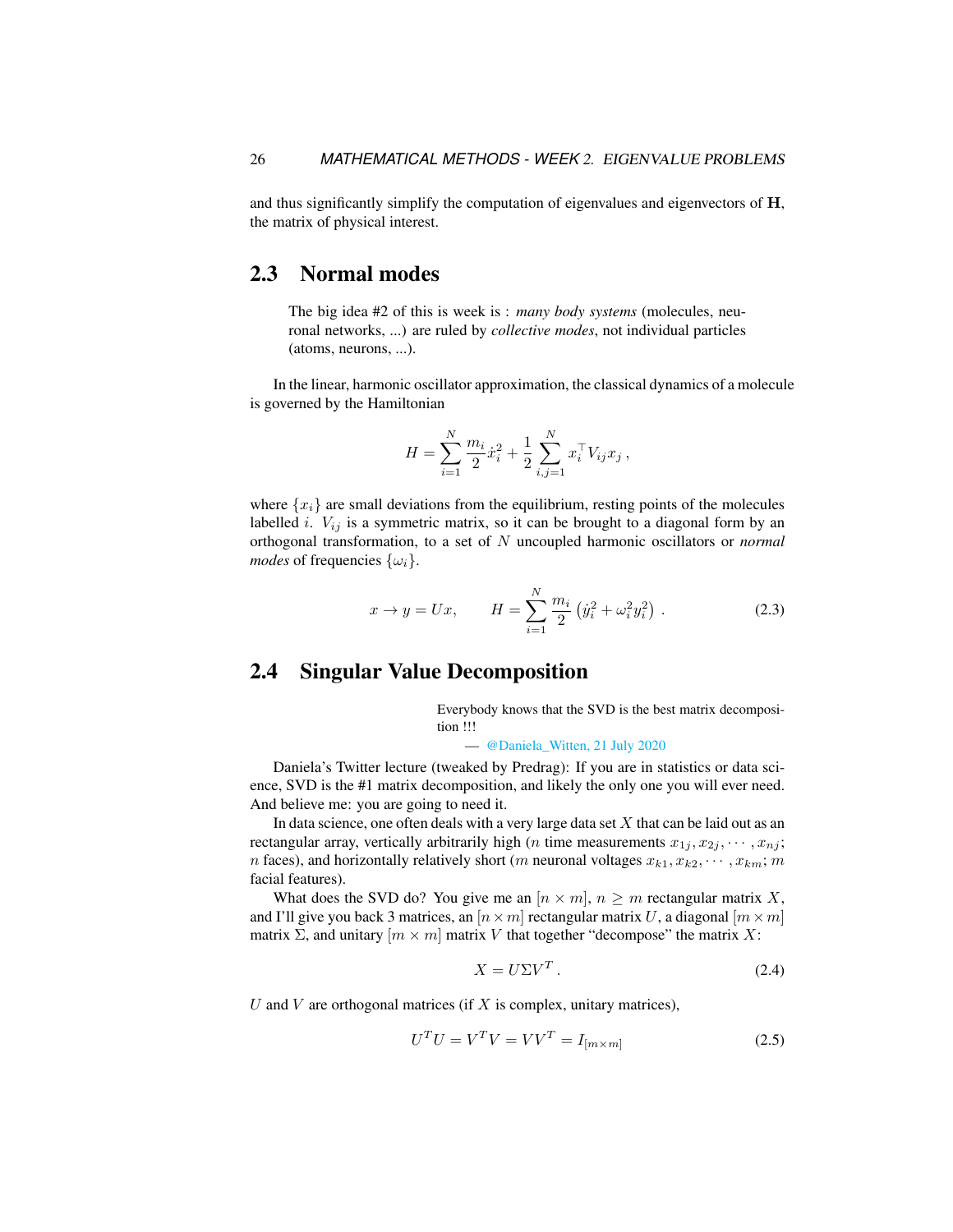and thus significantly simplify the computation of eigenvalues and eigenvectors of H, the matrix of physical interest.

## <span id="page-3-0"></span>2.3 Normal modes

The big idea #2 of this is week is : *many body systems* (molecules, neuronal networks, ...) are ruled by *collective modes*, not individual particles (atoms, neurons, ...).

In the linear, harmonic oscillator approximation, the classical dynamics of a molecule is governed by the Hamiltonian

$$
H = \sum_{i=1}^N \frac{m_i}{2} \dot{x}_i^2 + \frac{1}{2} \sum_{i,j=1}^N x_i^\top V_{ij} x_j ,
$$

where  $\{x_i\}$  are small deviations from the equilibrium, resting points of the molecules labelled *i*.  $V_{ij}$  is a symmetric matrix, so it can be brought to a diagonal form by an orthogonal transformation, to a set of N uncoupled harmonic oscillators or *normal modes* of frequencies  $\{\omega_i\}$ .

<span id="page-3-3"></span>
$$
x \to y = Ux, \qquad H = \sum_{i=1}^{N} \frac{m_i}{2} \left( \dot{y}_i^2 + \omega_i^2 y_i^2 \right). \tag{2.3}
$$

## <span id="page-3-1"></span>2.4 Singular Value Decomposition

Everybody knows that the SVD is the best matrix decomposition !!!

— [@Daniela\\_Witten, 21 July 2020](https://twitter.com/WomenInStat/status/1285610321747611653)

Daniela's Twitter lecture (tweaked by Predrag): If you are in statistics or data science, SVD is the #1 matrix decomposition, and likely the only one you will ever need. And believe me: you are going to need it.

In data science, one often deals with a very large data set  $X$  that can be laid out as an rectangular array, vertically arbitrarily high (*n* time measurements  $x_{1j}, x_{2j}, \dots, x_{nj}$ ; *n* faces), and horizontally relatively short (*m* neuronal voltages  $x_{k1}, x_{k2}, \dots, x_{km}$ ; *m* facial features).

What does the SVD do? You give me an  $[n \times m]$ ,  $n \geq m$  rectangular matrix X, and I'll give you back 3 matrices, an  $[n \times m]$  rectangular matrix U, a diagonal  $[m \times m]$ matrix  $\Sigma$ , and unitary  $[m \times m]$  matrix V that together "decompose" the matrix X:

<span id="page-3-2"></span>
$$
X = U\Sigma V^T. \tag{2.4}
$$

U and V are orthogonal matrices (if X is complex, unitary matrices),

$$
UTU = VTV = VVT = I[m \times m]
$$
 (2.5)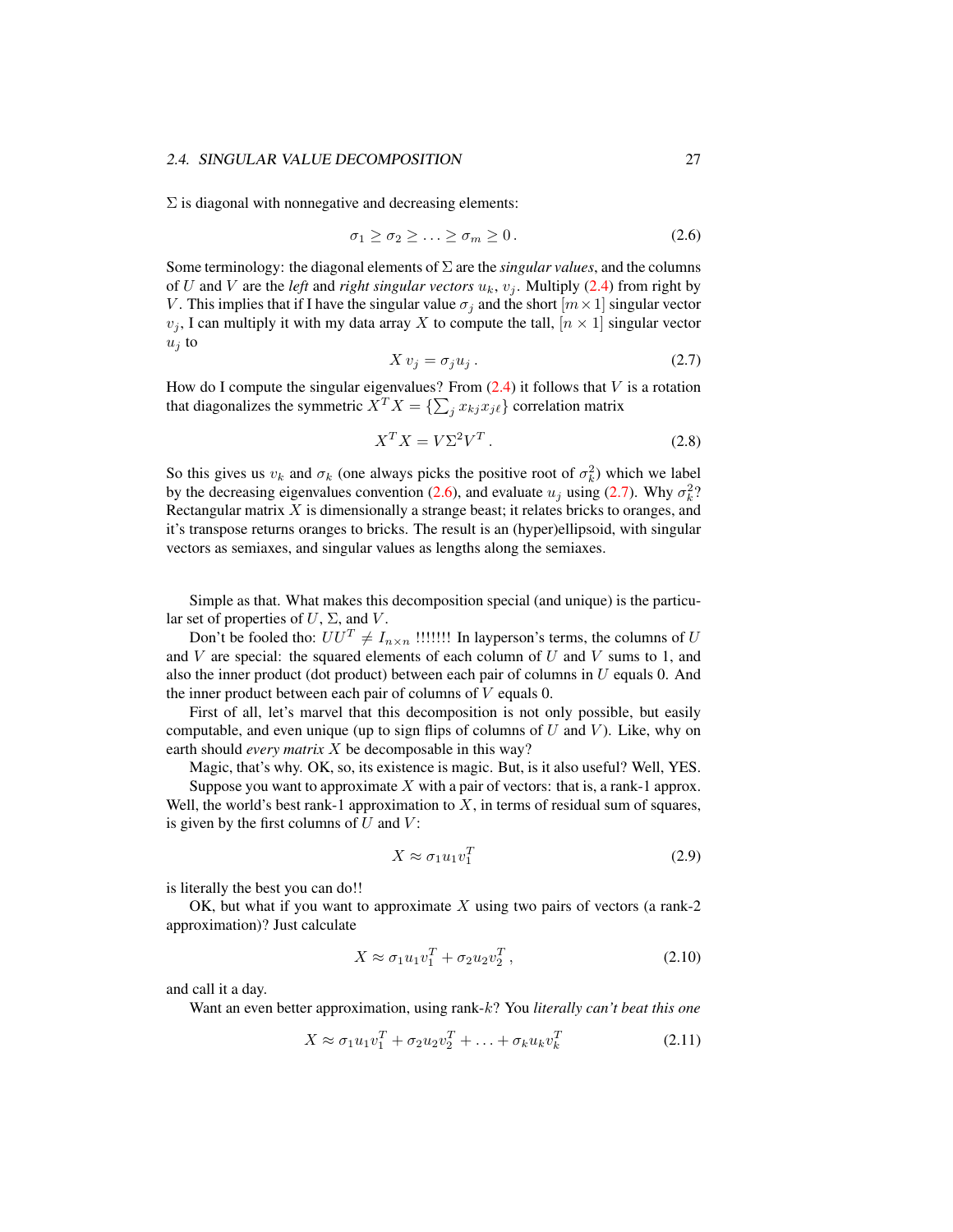#### 2.4. SINGULAR VALUE DECOMPOSITION 27

 $\Sigma$  is diagonal with nonnegative and decreasing elements:

<span id="page-4-0"></span>
$$
\sigma_1 \ge \sigma_2 \ge \ldots \ge \sigma_m \ge 0. \tag{2.6}
$$

Some terminology: the diagonal elements of Σ are the *singular values*, and the columns of U and V are the *left* and *right singular vectors*  $u_k$ ,  $v_i$ . Multiply [\(2.4\)](#page-3-2) from right by V. This implies that if I have the singular value  $\sigma_i$  and the short  $[m \times 1]$  singular vector  $v_j$ , I can multiply it with my data array X to compute the tall,  $[n \times 1]$  singular vector  $u_j$  to

<span id="page-4-1"></span>
$$
X v_j = \sigma_j u_j. \tag{2.7}
$$

How do I compute the singular eigenvalues? From  $(2.4)$  it follows that V is a rotation that diagonalizes the symmetric  $X^T X = \{ \sum_j x_{kj} x_{j\ell} \}$  correlation matrix

<span id="page-4-2"></span>
$$
X^T X = V \Sigma^2 V^T. \tag{2.8}
$$

So this gives us  $v_k$  and  $\sigma_k$  (one always picks the positive root of  $\sigma_k^2$ ) which we label by the decreasing eigenvalues convention [\(2.6\)](#page-4-0), and evaluate  $u_j$  using [\(2.7\)](#page-4-1). Why  $\sigma_k^2$ ? Rectangular matrix  $X$  is dimensionally a strange beast; it relates bricks to oranges, and it's transpose returns oranges to bricks. The result is an (hyper)ellipsoid, with singular vectors as semiaxes, and singular values as lengths along the semiaxes.

Simple as that. What makes this decomposition special (and unique) is the particular set of properties of  $U$ ,  $\Sigma$ , and  $V$ .

Don't be fooled tho:  $UU^T \neq I_{n \times n}$  !!!!!!! In layperson's terms, the columns of U and  $V$  are special: the squared elements of each column of  $U$  and  $V$  sums to 1, and also the inner product (dot product) between each pair of columns in  $U$  equals 0. And the inner product between each pair of columns of  $V$  equals 0.

First of all, let's marvel that this decomposition is not only possible, but easily computable, and even unique (up to sign flips of columns of  $U$  and  $V$ ). Like, why on earth should *every matrix* X be decomposable in this way?

Magic, that's why. OK, so, its existence is magic. But, is it also useful? Well, YES.

Suppose you want to approximate  $X$  with a pair of vectors: that is, a rank-1 approx. Well, the world's best rank-1 approximation to  $X$ , in terms of residual sum of squares, is given by the first columns of  $U$  and  $V$ :

$$
X \approx \sigma_1 u_1 v_1^T \tag{2.9}
$$

is literally the best you can do!!

OK, but what if you want to approximate  $X$  using two pairs of vectors (a rank-2) approximation)? Just calculate

$$
X \approx \sigma_1 u_1 v_1^T + \sigma_2 u_2 v_2^T , \qquad (2.10)
$$

and call it a day.

Want an even better approximation, using rank-k? You *literally can't beat this one*

$$
X \approx \sigma_1 u_1 v_1^T + \sigma_2 u_2 v_2^T + \ldots + \sigma_k u_k v_k^T
$$
\n(2.11)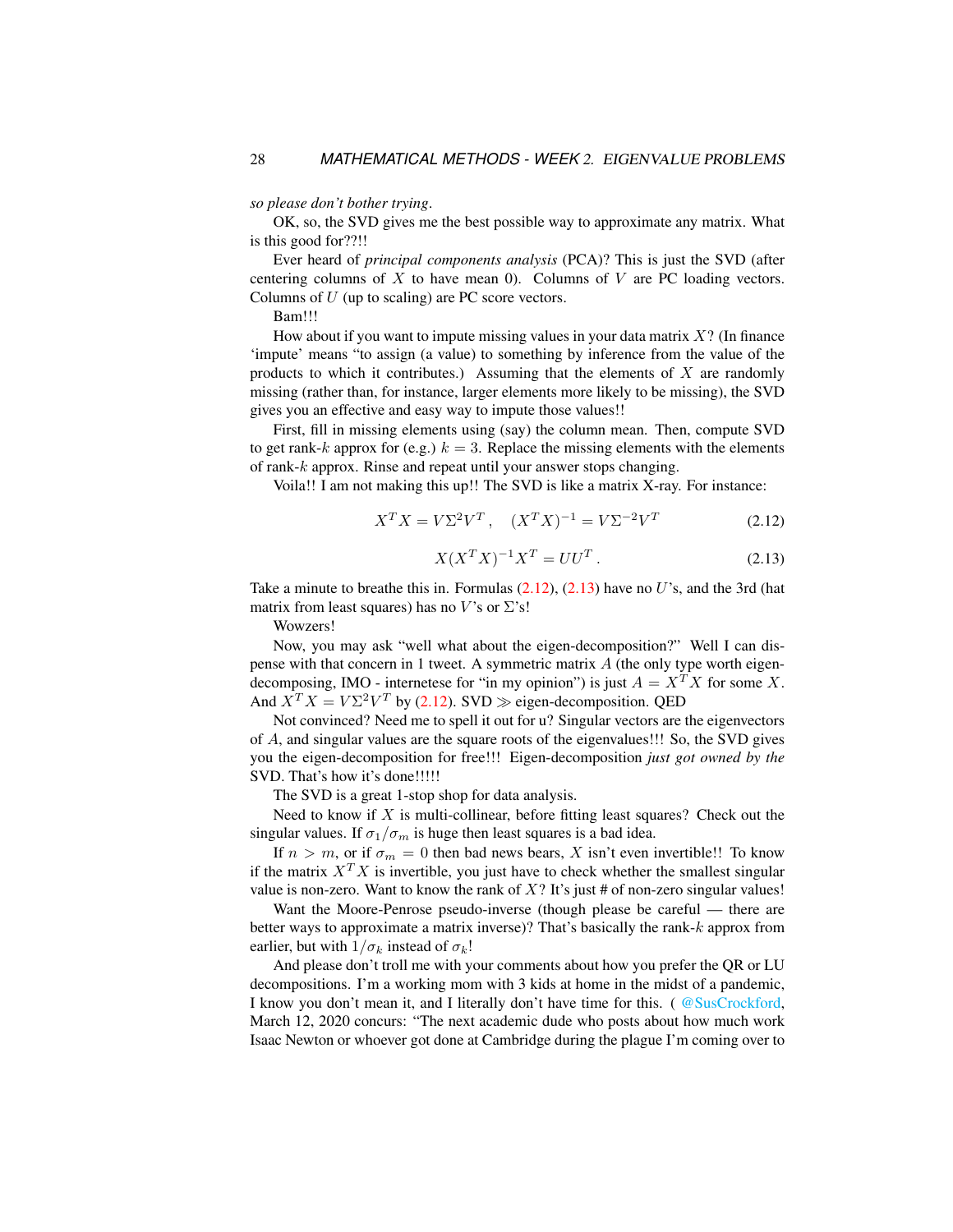*so please don't bother trying*.

OK, so, the SVD gives me the best possible way to approximate any matrix. What is this good for??!!

Ever heard of *principal components analysis* (PCA)? This is just the SVD (after centering columns of X to have mean 0). Columns of V are PC loading vectors. Columns of  $U$  (up to scaling) are PC score vectors.

Bam!!!

How about if you want to impute missing values in your data matrix  $X$ ? (In finance 'impute' means "to assign (a value) to something by inference from the value of the products to which it contributes.) Assuming that the elements of  $X$  are randomly missing (rather than, for instance, larger elements more likely to be missing), the SVD gives you an effective and easy way to impute those values!!

First, fill in missing elements using (say) the column mean. Then, compute SVD to get rank-k approx for (e.g.)  $k = 3$ . Replace the missing elements with the elements of rank-k approx. Rinse and repeat until your answer stops changing.

Voila!! I am not making this up!! The SVD is like a matrix X-ray. For instance:

<span id="page-5-0"></span>
$$
X^T X = V \Sigma^2 V^T, \quad (X^T X)^{-1} = V \Sigma^{-2} V^T \tag{2.12}
$$

<span id="page-5-1"></span>
$$
X(X^T X)^{-1} X^T = U U^T.
$$
 (2.13)

Take a minute to breathe this in. Formulas  $(2.12)$ ,  $(2.13)$  have no U's, and the 3rd (hat matrix from least squares) has no V's or  $\Sigma$ 's!

Wowzers!

Now, you may ask "well what about the eigen-decomposition?" Well I can dispense with that concern in 1 tweet. A symmetric matrix  $A$  (the only type worth eigendecomposing, IMO - internetese for "in my opinion") is just  $A = X^T X$  for some X. And  $X^T X = V \Sigma^2 V^T$  by [\(2.12\)](#page-5-0). SVD  $\gg$  eigen-decomposition. QED

Not convinced? Need me to spell it out for u? Singular vectors are the eigenvectors of A, and singular values are the square roots of the eigenvalues!!! So, the SVD gives you the eigen-decomposition for free!!! Eigen-decomposition *just got owned by the* SVD. That's how it's done!!!!!

The SVD is a great 1-stop shop for data analysis.

Need to know if  $X$  is multi-collinear, before fitting least squares? Check out the singular values. If  $\sigma_1/\sigma_m$  is huge then least squares is a bad idea.

If  $n > m$ , or if  $\sigma_m = 0$  then bad news bears, X isn't even invertible!! To know if the matrix  $X^T X$  is invertible, you just have to check whether the smallest singular value is non-zero. Want to know the rank of  $X$ ? It's just # of non-zero singular values!

Want the Moore-Penrose pseudo-inverse (though please be careful — there are better ways to approximate a matrix inverse)? That's basically the rank-k approx from earlier, but with  $1/\sigma_k$  instead of  $\sigma_k!$ 

And please don't troll me with your comments about how you prefer the QR or LU decompositions. I'm a working mom with 3 kids at home in the midst of a pandemic, I know you don't mean it, and I literally don't have time for this. ([@SusCrockford,](https://twitter.com/SusCrockford/status/1238025028819697664) March 12, 2020 concurs: "The next academic dude who posts about how much work Isaac Newton or whoever got done at Cambridge during the plague I'm coming over to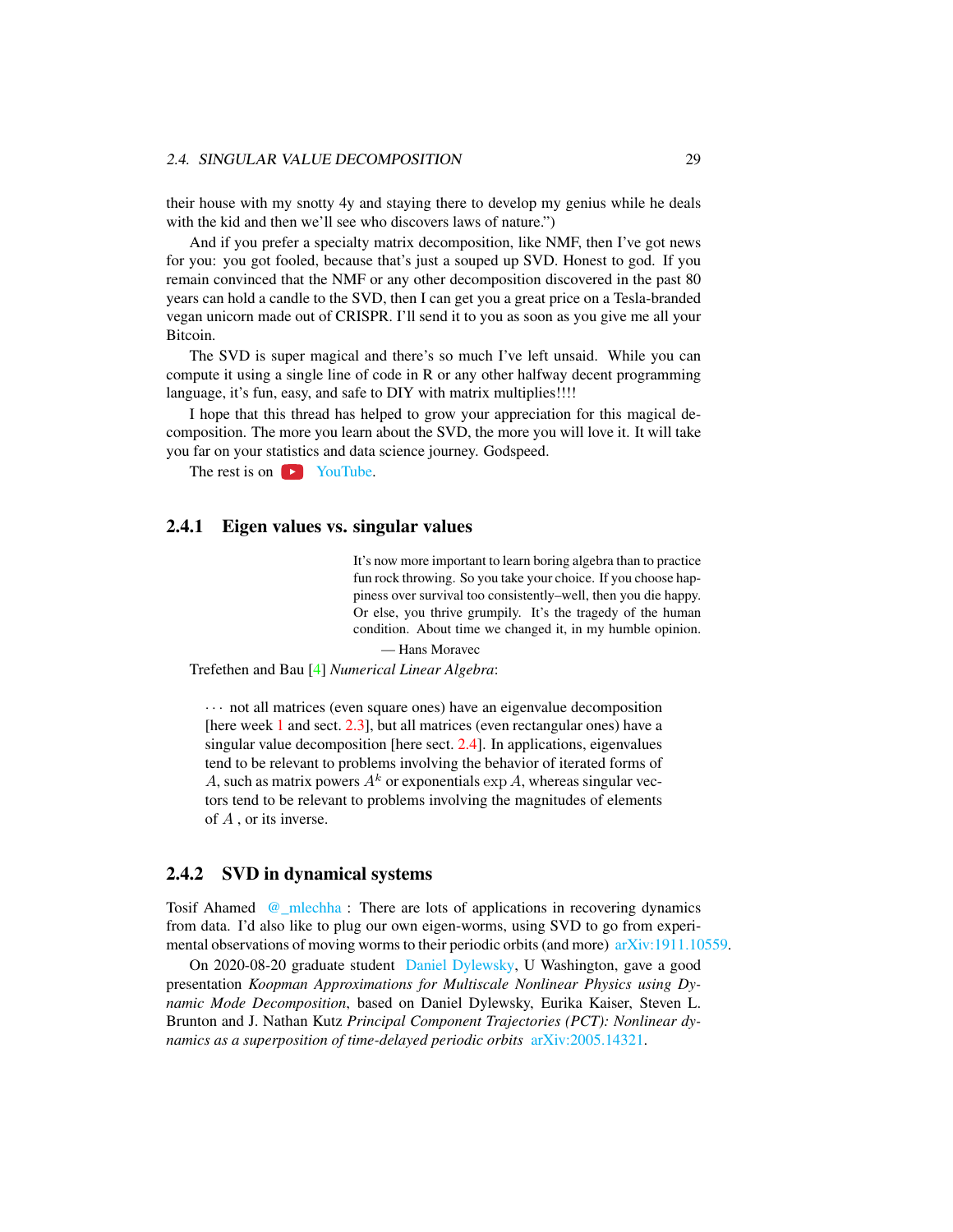their house with my snotty 4y and staying there to develop my genius while he deals with the kid and then we'll see who discovers laws of nature.")

And if you prefer a specialty matrix decomposition, like NMF, then I've got news for you: you got fooled, because that's just a souped up SVD. Honest to god. If you remain convinced that the NMF or any other decomposition discovered in the past 80 years can hold a candle to the SVD, then I can get you a great price on a Tesla-branded vegan unicorn made out of CRISPR. I'll send it to you as soon as you give me all your Bitcoin.

The SVD is super magical and there's so much I've left unsaid. While you can compute it using a single line of code in R or any other halfway decent programming language, it's fun, easy, and safe to DIY with matrix multiplies!!!!

I hope that this thread has helped to grow your appreciation for this magical decomposition. The more you learn about the SVD, the more you will love it. It will take you far on your statistics and data science journey. Godspeed.

The rest is on  $\triangleright$  [YouTube.](https://www.youtube.com/playlist?list=PLMrJAkhIeNNSVjnsviglFoY2nXildDCcv)

#### <span id="page-6-0"></span>2.4.1 Eigen values vs. singular values

It's now more important to learn boring algebra than to practice fun rock throwing. So you take your choice. If you choose happiness over survival too consistently–well, then you die happy. Or else, you thrive grumpily. It's the tragedy of the human condition. About time we changed it, in my humble opinion.

— Hans Moravec

Trefethen and Bau [\[4\]](#page-7-2) *Numerical Linear Algebra*:

· · · not all matrices (even square ones) have an eigenvalue decomposition [here week 1 and sect. [2.3\]](#page-3-0), but all matrices (even rectangular ones) have a singular value decomposition [here sect. [2.4\]](#page-3-1). In applications, eigenvalues tend to be relevant to problems involving the behavior of iterated forms of A, such as matrix powers  $A^k$  or exponentials  $\exp A$ , whereas singular vectors tend to be relevant to problems involving the magnitudes of elements of A , or its inverse.

#### 2.4.2 SVD in dynamical systems

Tosif Ahamed [@\\_mlechha](https://twitter.com/_mlechha) : There are lots of applications in recovering dynamics from data. I'd also like to plug our own eigen-worms, using SVD to go from experimental observations of moving worms to their periodic orbits (and more) [arXiv:1911.10559.](https://arXiv.org/abs/1911.10559)

On 2020-08-20 graduate student [Daniel Dylewsky,](https://github.com/dylewsky) U Washington, gave a good presentation *Koopman Approximations for Multiscale Nonlinear Physics using Dynamic Mode Decomposition*, based on Daniel Dylewsky, Eurika Kaiser, Steven L. Brunton and J. Nathan Kutz *Principal Component Trajectories (PCT): Nonlinear dynamics as a superposition of time-delayed periodic orbits* [arXiv:2005.14321.](https://arXiv.org/abs/2005.14321)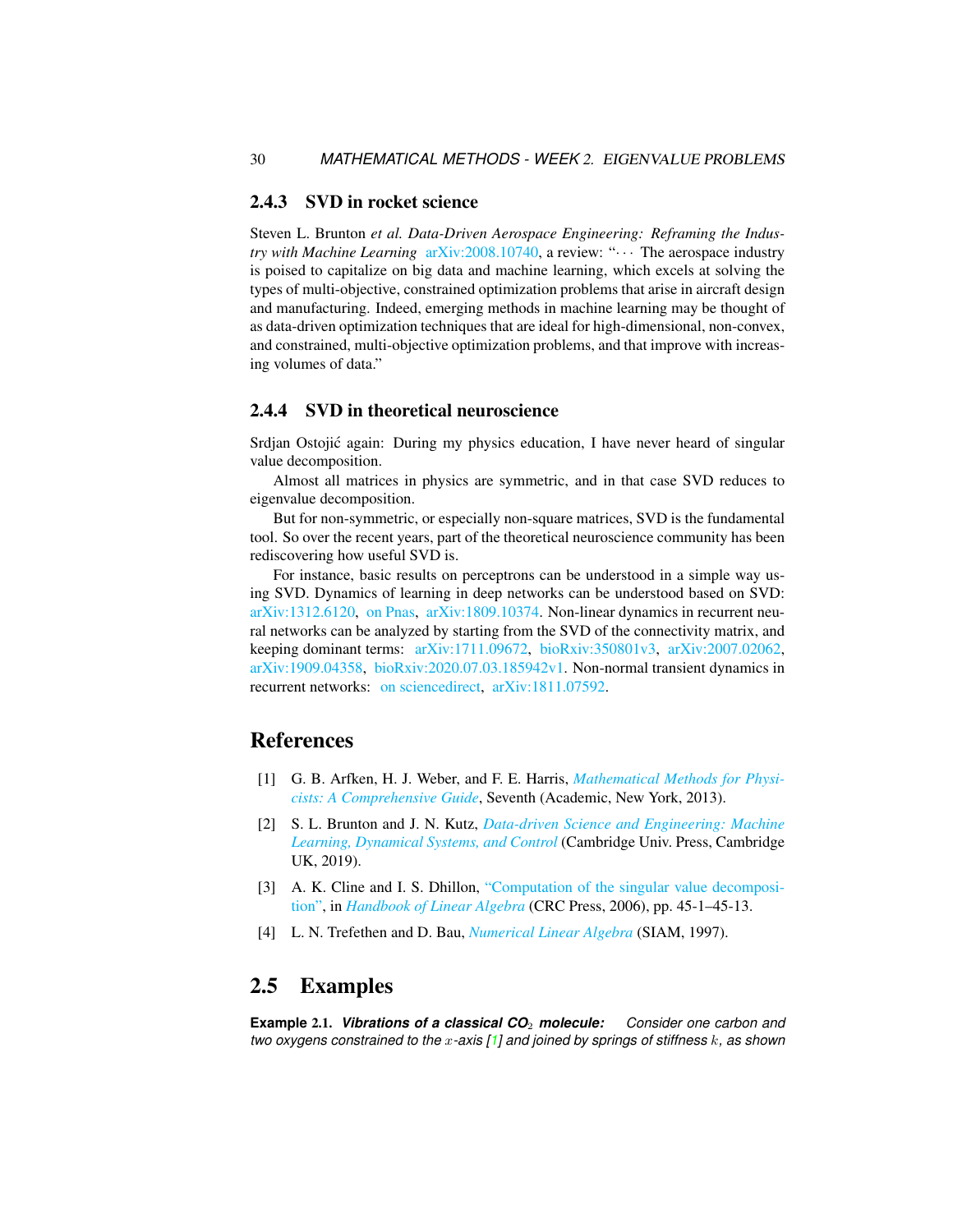#### 2.4.3 SVD in rocket science

Steven L. Brunton *et al. Data-Driven Aerospace Engineering: Reframing the Industry with Machine Learning* [arXiv:2008.10740,](https://arXiv.org/abs/2008.10740) a review: "··· The aerospace industry is poised to capitalize on big data and machine learning, which excels at solving the types of multi-objective, constrained optimization problems that arise in aircraft design and manufacturing. Indeed, emerging methods in machine learning may be thought of as data-driven optimization techniques that are ideal for high-dimensional, non-convex, and constrained, multi-objective optimization problems, and that improve with increasing volumes of data."

#### 2.4.4 SVD in theoretical neuroscience

Srdjan Ostojic again: During my physics education, I have never heard of singular ´ value decomposition.

Almost all matrices in physics are symmetric, and in that case SVD reduces to eigenvalue decomposition.

But for non-symmetric, or especially non-square matrices, SVD is the fundamental tool. So over the recent years, part of the theoretical neuroscience community has been rediscovering how useful SVD is.

For instance, basic results on perceptrons can be understood in a simple way using SVD. Dynamics of learning in deep networks can be understood based on SVD: [arXiv:1312.6120,](https://arXiv.org/abs/1312.6120) [on Pnas,](https://pnas.org/content/116/23/11537) [arXiv:1809.10374.](https://arXiv.org/abs/1809.10374) Non-linear dynamics in recurrent neural networks can be analyzed by starting from the SVD of the connectivity matrix, and keeping dominant terms: [arXiv:1711.09672,](https://arXiv.org/abs/1711.09672) [bioRxiv:350801v3,](https://biorxiv.org/content/10.1101/350801v3) [arXiv:2007.02062,](https://arXiv.org/abs/2007.02062) [arXiv:1909.04358,](https://arXiv.org/abs/1909.04358) [bioRxiv:2020.07.03.185942v1.](https://biorxiv.org/content/10.1101/2020.07.03.185942v1) Non-normal transient dynamics in recurrent networks: [on sciencedirect,](https://sciencedirect.com/science/article/pii/S0896627314003602) [arXiv:1811.07592.](https://arXiv.org/abs/1811.07592)

## References

- <span id="page-7-4"></span>[1] G. B. Arfken, H. J. Weber, and F. E. Harris, *[Mathematical Methods for Physi](http://books.google.com/books?vid=ISBN9780123846549)[cists: A Comprehensive Guide](http://books.google.com/books?vid=ISBN9780123846549)*, Seventh (Academic, New York, 2013).
- <span id="page-7-1"></span>[2] S. L. Brunton and J. N. Kutz, *[Data-driven Science and Engineering: Machine](http://dx.doi.org/10.1017/9781108380690) [Learning, Dynamical Systems, and Control](http://dx.doi.org/10.1017/9781108380690)* (Cambridge Univ. Press, Cambridge UK, 2019).
- <span id="page-7-3"></span>[3] A. K. Cline and I. S. Dhillon, ["Computation of the singular value decomposi](http://dx.doi.org/10.1201/9781420010572-45)[tion",](http://dx.doi.org/10.1201/9781420010572-45) in *[Handbook of Linear Algebra](https://doi.org/10.1201/9781420010572-45)* (CRC Press, 2006), pp. 45-1–45-13.
- <span id="page-7-2"></span>[4] L. N. Trefethen and D. Bau, *[Numerical Linear Algebra](http://dx.doi.org/10.1137/1.9780898719574)* (SIAM, 1997).

### 2.5 Examples

<span id="page-7-0"></span>**Example** 2.1. *Vibrations of a classical CO*<sup>2</sup> *molecule: Consider one carbon and two oxygens constrained to the* x*-axis [\[1\]](#page-7-4) and joined by springs of stiffness* k*, as shown*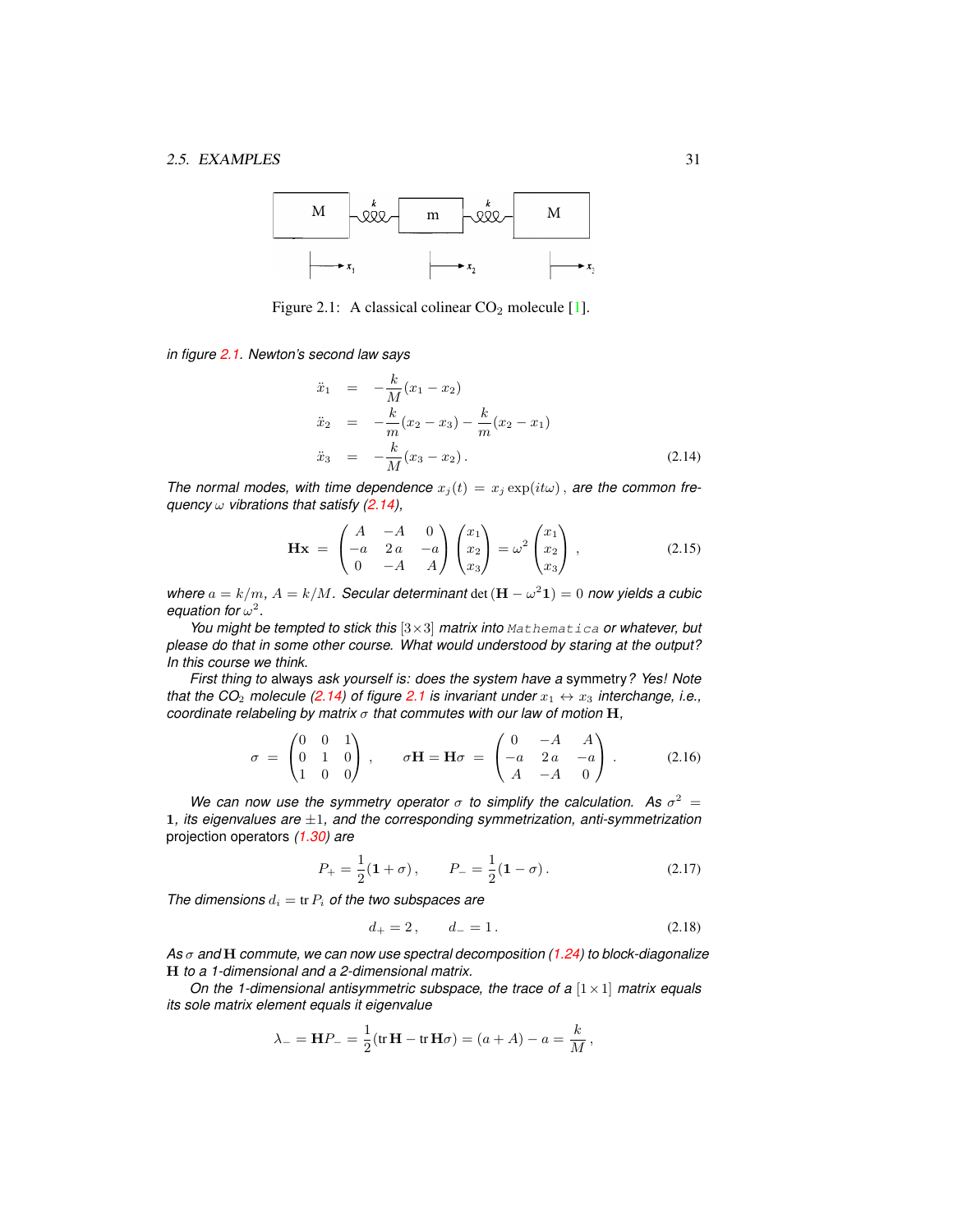

<span id="page-8-0"></span>Figure 2.1: A classical colinear  $CO<sub>2</sub>$  molecule [\[1\]](#page-7-4).

*in figure [2.1.](#page-8-0) Newton's second law says*

<span id="page-8-1"></span>
$$
\ddot{x}_1 = -\frac{k}{M}(x_1 - x_2) \n\ddot{x}_2 = -\frac{k}{m}(x_2 - x_3) - \frac{k}{m}(x_2 - x_1) \n\ddot{x}_3 = -\frac{k}{M}(x_3 - x_2).
$$
\n(2.14)

*The normal modes, with time dependence*  $x_i(t) = x_i \exp(it\omega)$ , *are the common frequency* ω *vibrations that satisfy [\(2.14\)](#page-8-1),*

$$
\mathbf{Hx} = \begin{pmatrix} A & -A & 0 \\ -a & 2a & -a \\ 0 & -A & A \end{pmatrix} \begin{pmatrix} x_1 \\ x_2 \\ x_3 \end{pmatrix} = \omega^2 \begin{pmatrix} x_1 \\ x_2 \\ x_3 \end{pmatrix} \,, \tag{2.15}
$$

*where*  $a = k/m$ ,  $A = k/M$ . Secular determinant det  $(\mathbf{H} - \omega^2 \mathbf{1}) = 0$  now yields a cubic equation for  $\omega^2$ .

*You might be tempted to stick this* [3×3] *matrix into* Mathematica *or whatever, but please do that in some other course. What would understood by staring at the output? In this course we think.*

*First thing to* always *ask yourself is: does the system have a* symmetry*? Yes! Note that the CO<sub>2</sub> molecule [\(2.14\)](#page-8-1) of figure [2.1](#page-8-0) is invariant under*  $x_1 \leftrightarrow x_3$  *interchange, i.e., coordinate relabeling by matrix* σ *that commutes with our law of motion* H*,*

<span id="page-8-3"></span>
$$
\sigma = \begin{pmatrix} 0 & 0 & 1 \\ 0 & 1 & 0 \\ 1 & 0 & 0 \end{pmatrix}, \quad \sigma \mathbf{H} = \mathbf{H}\sigma = \begin{pmatrix} 0 & -A & A \\ -a & 2a & -a \\ A & -A & 0 \end{pmatrix}.
$$
 (2.16)

We can now use the symmetry operator  $\sigma$  to simplify the calculation. As  $\sigma^2 =$ 1*, its eigenvalues are* ±1*, and the corresponding symmetrization, anti-symmetrization* projection operators *(1.30) are*

$$
P_{+} = \frac{1}{2}(\mathbf{1} + \sigma), \qquad P_{-} = \frac{1}{2}(\mathbf{1} - \sigma). \tag{2.17}
$$

*The dimensions*  $d_i = \text{tr } P_i$  *of the two subspaces are* 

<span id="page-8-2"></span>
$$
d_+ = 2, \qquad d_- = 1. \tag{2.18}
$$

*As* σ *and* H *commute, we can now use spectral decomposition (1.24) to block-diagonalize* H *to a 1-dimensional and a 2-dimensional matrix.*

*On the 1-dimensional antisymmetric subspace, the trace of a* [ $1 \times 1$ ] *matrix equals its sole matrix element equals it eigenvalue*

$$
\lambda_{-} = \mathbf{H} P_{-} = \frac{1}{2} (\text{tr } \mathbf{H} - \text{tr } \mathbf{H} \sigma) = (a + A) - a = \frac{k}{M},
$$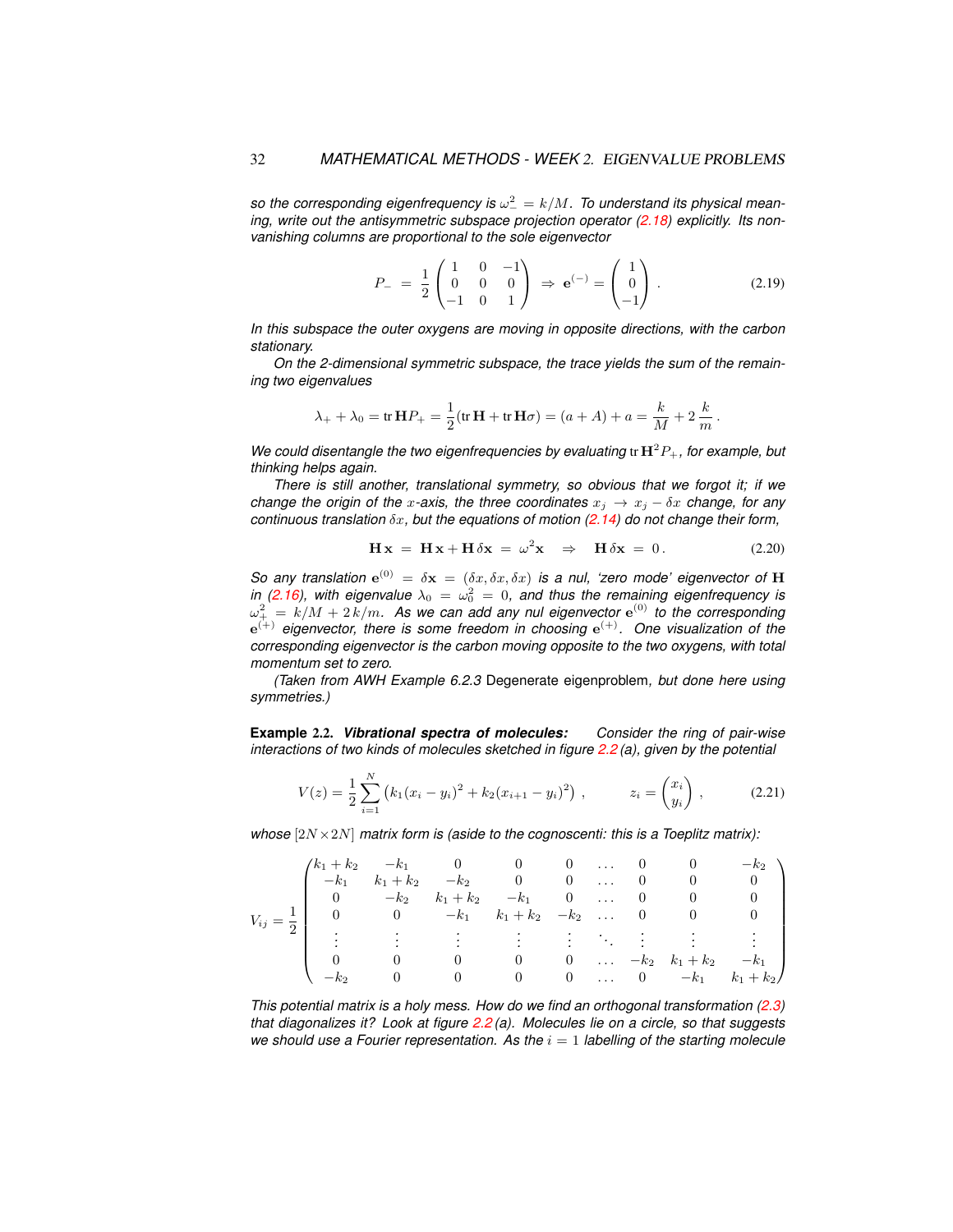so the corresponding eigenfrequency is  $\omega_-^2 = k/M$ . To understand its physical mean-ing, write out the antisymmetric subspace projection operator [\(2.18\)](#page-8-2) explicitly. Its non*vanishing columns are proportional to the sole eigenvector*

$$
P_{-} = \frac{1}{2} \begin{pmatrix} 1 & 0 & -1 \\ 0 & 0 & 0 \\ -1 & 0 & 1 \end{pmatrix} \Rightarrow \mathbf{e}^{(-)} = \begin{pmatrix} 1 \\ 0 \\ -1 \end{pmatrix}.
$$
 (2.19)

*In this subspace the outer oxygens are moving in opposite directions, with the carbon stationary.*

*On the 2-dimensional symmetric subspace, the trace yields the sum of the remaining two eigenvalues*

$$
\lambda_{+} + \lambda_{0} = \text{tr } \mathbf{H} P_{+} = \frac{1}{2} (\text{tr } \mathbf{H} + \text{tr } \mathbf{H} \sigma) = (a + A) + a = \frac{k}{M} + 2 \frac{k}{m}.
$$

*We could disentangle the two eigenfrequencies by evaluating* tr  $H^2P_+$ *, for example, but thinking helps again.*

*There is still another, translational symmetry, so obvious that we forgot it; if we change the origin of the x-axis, the three coordinates*  $x_j \rightarrow x_j - \delta x$  *change, for any continuous translation* δx*, but the equations of motion [\(2.14\)](#page-8-1) do not change their form,*

$$
\mathbf{H}\mathbf{x} = \mathbf{H}\mathbf{x} + \mathbf{H}\delta\mathbf{x} = \omega^2 \mathbf{x} \Rightarrow \mathbf{H}\delta\mathbf{x} = 0.
$$
 (2.20)

*So any translation*  $e^{(0)} = \delta x = (\delta x, \delta x, \delta x)$  *is a nul, 'zero mode' eigenvector of* H *in [\(2.16\)](#page-8-3), with eigenvalue*  $\lambda_0 = \omega_0^2 = 0$ , and thus the remaining eigenfrequency is  $\omega_+^2\,=\,k/M+2\,k/m.$  As we can add any nul eigenvector  ${\rm e}^{(0)}$  to the corresponding e (+) *eigenvector, there is some freedom in choosing* e (+)*. One visualization of the corresponding eigenvector is the carbon moving opposite to the two oxygens, with total momentum set to zero.*

*(Taken from AWH Example 6.2.3* Degenerate eigenproblem*, but done here using symmetries.)*

<span id="page-9-0"></span>**Example** 2.2. *Vibrational spectra of molecules: Consider the ring of pair-wise interactions of two kinds of molecules sketched in figure [2.2](#page-10-0) (a), given by the potential*

<span id="page-9-1"></span>
$$
V(z) = \frac{1}{2} \sum_{i=1}^{N} (k_1 (x_i - y_i)^2 + k_2 (x_{i+1} - y_i)^2) , \qquad z_i = \begin{pmatrix} x_i \\ y_i \end{pmatrix} , \qquad (2.21)
$$

*whose* [2N ×2N] *matrix form is (aside to the cognoscenti: this is a Toeplitz matrix):*

|          |                                                                                                   |                                 |                | $\sim$ 0                               | $\sim 100$                                 |          | $0\qquad 0$                                                         | $-k2$                   |
|----------|---------------------------------------------------------------------------------------------------|---------------------------------|----------------|----------------------------------------|--------------------------------------------|----------|---------------------------------------------------------------------|-------------------------|
| $V_{ij}$ | $\begin{pmatrix} k_1 + k_2 & -k_1 & 0 & 0 \\ -k_1 & k_1 + k_2 & -k_2 & 0 \end{pmatrix}$<br>$-k_1$ |                                 |                | $0 \ldots$                             |                                            | $\theta$ |                                                                     |                         |
|          |                                                                                                   | $-k_2$ $k_1 + k_2$              | $-k_1$ 0  0    |                                        |                                            |          |                                                                     |                         |
|          |                                                                                                   | 0 $-k_1$ $k_1 + k_2$ $-k_2$ 0 0 |                |                                        |                                            |          |                                                                     |                         |
|          |                                                                                                   |                                 | $\sim 100$     | <b>Contract Contract</b>               | $\mathcal{L}^{\text{max}}_{\text{max}}$    |          | $\frac{1}{2}$ and $\frac{1}{2}$ and $\frac{1}{2}$ and $\frac{1}{2}$ |                         |
|          |                                                                                                   |                                 |                |                                        |                                            |          |                                                                     |                         |
|          |                                                                                                   |                                 | $\theta$       | $\begin{array}{ccc} & & 0 \end{array}$ | $\mathbf{1}$ , $\mathbf{1}$ , $\mathbf{1}$ |          |                                                                     | $-k_2$ $k_1+k_2$ $-k_1$ |
|          |                                                                                                   |                                 | $\overline{0}$ | $\begin{array}{ccc} & & 0 \end{array}$ |                                            |          | $\ldots$ 0 $-k_1$                                                   | $k_1 + k_2$             |

*This potential matrix is a holy mess. How do we find an orthogonal transformation [\(2.3\)](#page-3-3) that diagonalizes it? Look at figure [2.2](#page-10-0) (a). Molecules lie on a circle, so that suggests we should use a Fourier representation. As the*  $i = 1$  *labelling of the starting molecule*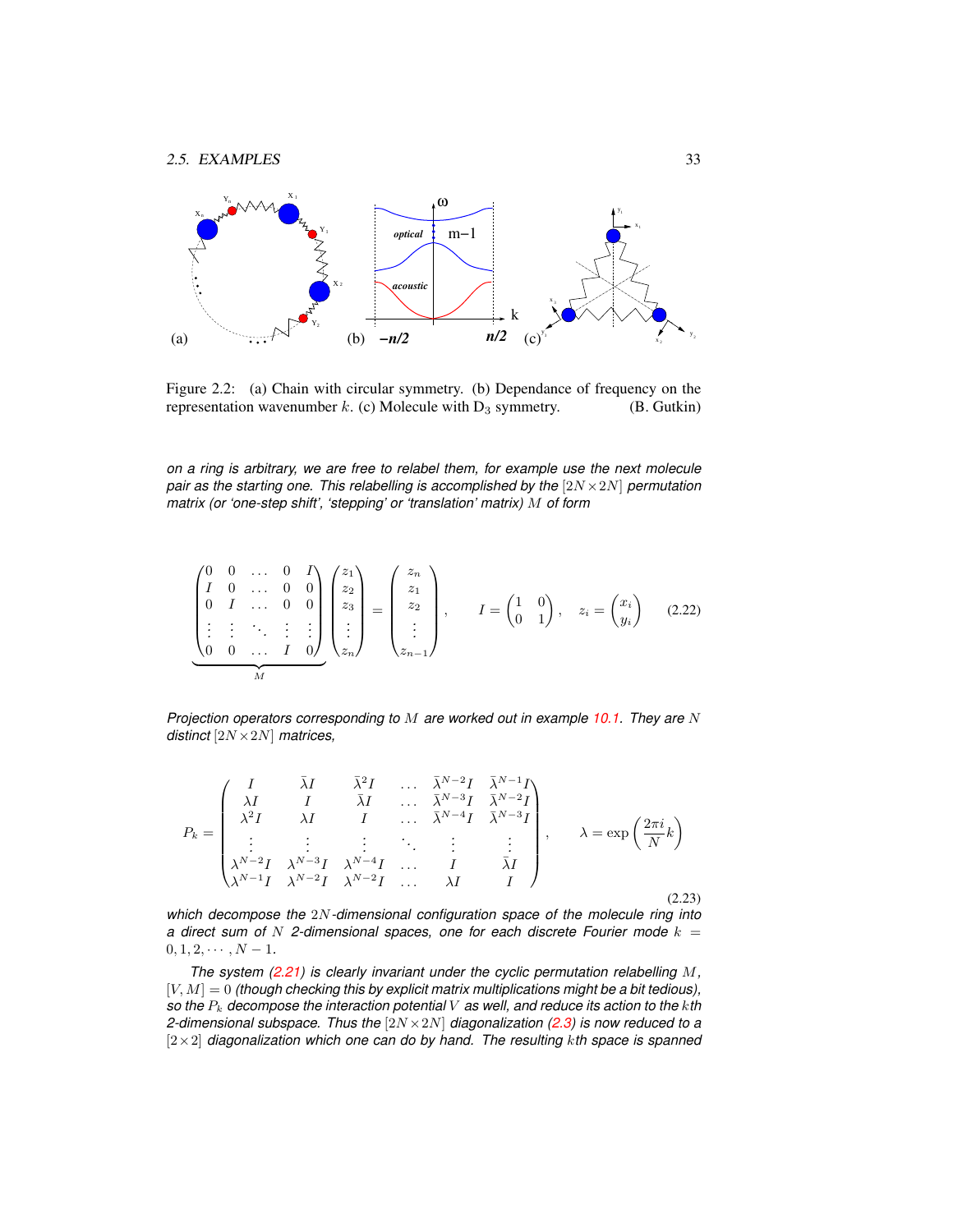

<span id="page-10-0"></span>Figure 2.2: (a) Chain with circular symmetry. (b) Dependance of frequency on the representation wavenumber k. (c) Molecule with  $D_3$  symmetry. (B. Gutkin)

*on a ring is arbitrary, we are free to relabel them, for example use the next molecule pair as the starting one. This relabelling is accomplished by the* [2N ×2N] *permutation matrix (or 'one-step shift', 'stepping' or 'translation' matrix)* M *of form*

$$
\begin{pmatrix}\n0 & 0 & \dots & 0 & I \\
I & 0 & \dots & 0 & 0 \\
0 & I & \dots & 0 & 0 \\
\vdots & \vdots & \ddots & \vdots & \vdots \\
0 & 0 & \dots & I & 0\n\end{pmatrix}\n\begin{pmatrix}\nz_1 \\
z_2 \\
z_3 \\
\vdots \\
z_n\n\end{pmatrix}\n=\n\begin{pmatrix}\nz_n \\
z_1 \\
z_2 \\
\vdots \\
z_{n-1}\n\end{pmatrix}, \quad I = \begin{pmatrix} 1 & 0 \\ 0 & 1 \end{pmatrix}, \quad z_i = \begin{pmatrix} x_i \\ y_i \end{pmatrix} \quad (2.22)
$$

*Projection operators corresponding to* M *are worked out in example 10.1. They are* N *distinct* [2N ×2N] *matrices,*

$$
P_k = \begin{pmatrix} I & \bar{\lambda}I & \bar{\lambda}^2I & \dots & \bar{\lambda}^{N-2}I & \bar{\lambda}^{N-1}I \\ \lambda I & I & \bar{\lambda}I & \dots & \bar{\lambda}^{N-3}I & \bar{\lambda}^{N-2}I \\ \lambda^2I & \lambda I & I & \dots & \bar{\lambda}^{N-4}I & \bar{\lambda}^{N-3}I \\ \vdots & \vdots & \vdots & \ddots & \vdots & \vdots \\ \lambda^{N-2}I & \lambda^{N-3}I & \lambda^{N-4}I & \dots & I & \bar{\lambda}I \\ \lambda^{N-1}I & \lambda^{N-2}I & \lambda^{N-2}I & \dots & \lambda I & I \end{pmatrix}, \qquad \lambda = \exp\left(\frac{2\pi i}{N}k\right) \tag{2.23}
$$

*which decompose the* 2N*-dimensional configuration space of the molecule ring into a* direct sum of N 2-dimensional spaces, one for each discrete Fourier mode  $k =$  $0, 1, 2, \cdots, N-1.$ 

*The system [\(2.21\)](#page-9-1) is clearly invariant under the cyclic permutation relabelling* M*,*  $[V, M] = 0$  *(though checking this by explicit matrix multiplications might be a bit tedious)*, *so the* P<sup>k</sup> *decompose the interaction potential* V *as well, and reduce its action to the* k*th 2-dimensional subspace. Thus the* [2N ×2N] *diagonalization [\(2.3\)](#page-3-3) is now reduced to a* [2×2] *diagonalization which one can do by hand. The resulting* k*th space is spanned*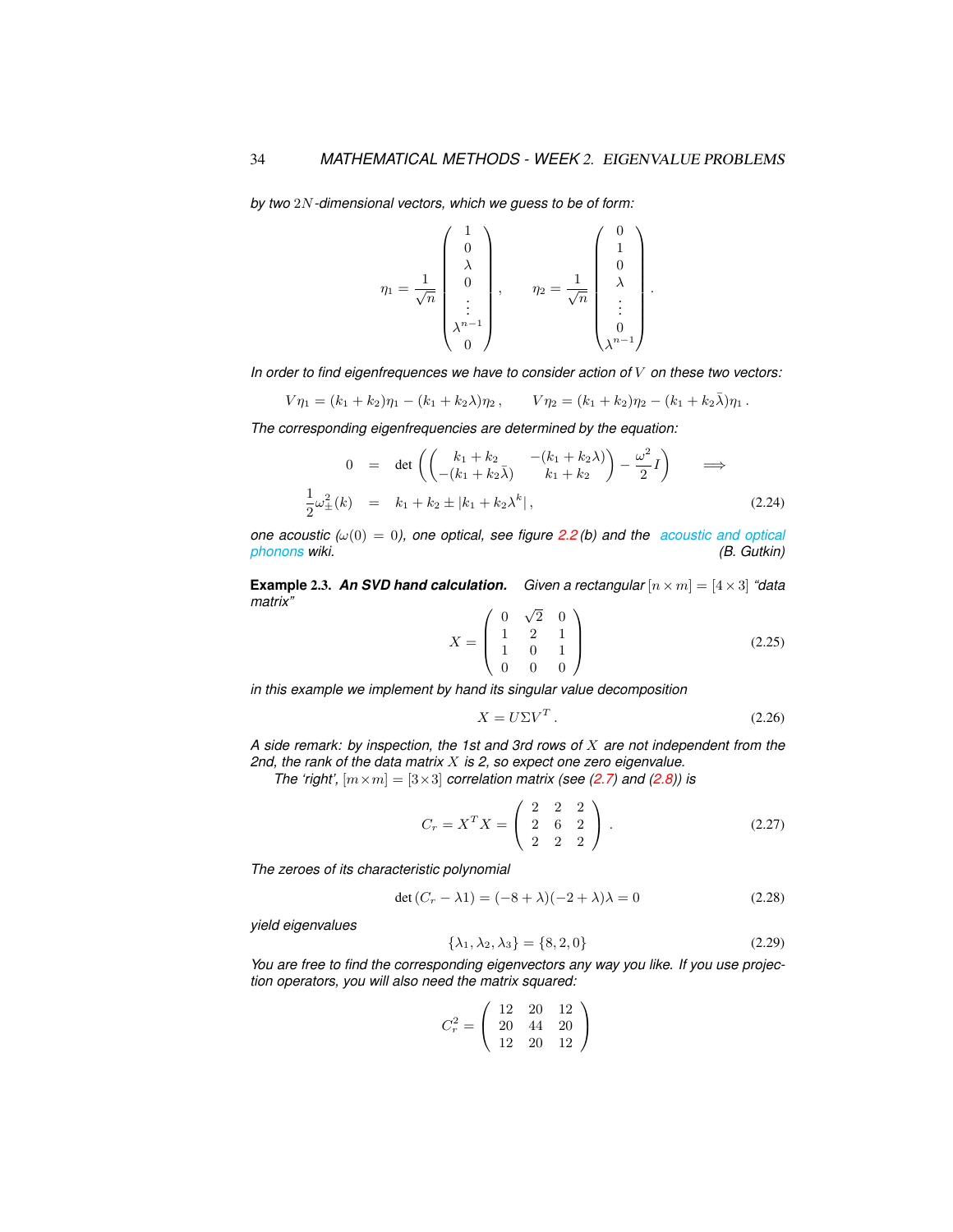*by two* 2N*-dimensional vectors, which we guess to be of form:*

$$
\eta_1 = \frac{1}{\sqrt{n}} \begin{pmatrix} 1 \\ 0 \\ \lambda \\ 0 \\ \vdots \\ \lambda^{n-1} \\ 0 \end{pmatrix}, \qquad \eta_2 = \frac{1}{\sqrt{n}} \begin{pmatrix} 0 \\ 1 \\ 0 \\ \lambda \\ \vdots \\ 0 \\ \lambda^{n-1} \end{pmatrix}.
$$

*In order to find eigenfrequences we have to consider action of* V *on these two vectors:*

$$
V\eta_1 = (k_1 + k_2)\eta_1 - (k_1 + k_2\lambda)\eta_2, \qquad V\eta_2 = (k_1 + k_2)\eta_2 - (k_1 + k_2\overline{\lambda})\eta_1.
$$

*The corresponding eigenfrequencies are determined by the equation:*

$$
0 = \det \left( \begin{pmatrix} k_1 + k_2 & -(k_1 + k_2 \lambda) \\ -(k_1 + k_2 \overline{\lambda}) & k_1 + k_2 \end{pmatrix} - \frac{\omega^2}{2} I \right) \implies
$$
  

$$
\frac{1}{2} \omega_{\pm}^2(k) = k_1 + k_2 \pm |k_1 + k_2 \lambda^k|,
$$
 (2.24)

*one acoustic (* $\omega(0) = 0$ *), one optical, see figure [2.2](#page-10-0)(b)* and the *[acoustic and optical](https://en.wikipedia.org/wiki/Phonon#Acoustic_and_optical_phonons) phonons wiki.* (*B. Gutkin*)  $phonons$  *wiki.* 

**Example 2.3. An SVD hand calculation.** Given a rectangular  $[n \times m] = [4 \times 3]$  "data *matrix"* √

<span id="page-11-1"></span>
$$
X = \begin{pmatrix} 0 & \sqrt{2} & 0 \\ 1 & 2 & 1 \\ 1 & 0 & 1 \\ 0 & 0 & 0 \end{pmatrix}
$$
 (2.25)

*in this example we implement by hand its singular value decomposition*

<span id="page-11-0"></span>
$$
X = U\Sigma V^T. \tag{2.26}
$$

*A side remark: by inspection, the 1st and 3rd rows of* X *are not independent from the 2nd, the rank of the data matrix* X *is 2, so expect one zero eigenvalue.*

*The 'right',*  $[m \times m] = [3 \times 3]$  *correlation matrix (see [\(2.7\)](#page-4-1) and [\(2.8\)](#page-4-2)) is* 

$$
C_r = X^T X = \begin{pmatrix} 2 & 2 & 2 \\ 2 & 6 & 2 \\ 2 & 2 & 2 \end{pmatrix} .
$$
 (2.27)

*The zeroes of its characteristic polynomial*

$$
\det\left(C_r - \lambda 1\right) = (-8 + \lambda)(-2 + \lambda)\lambda = 0\tag{2.28}
$$

*yield eigenvalues*

$$
\{\lambda_1, \lambda_2, \lambda_3\} = \{8, 2, 0\} \tag{2.29}
$$

*You are free to find the corresponding eigenvectors any way you like. If you use projection operators, you will also need the matrix squared:*

$$
C_r^2 = \left(\begin{array}{ccc} 12 & 20 & 12\\ 20 & 44 & 20\\ 12 & 20 & 12 \end{array}\right)
$$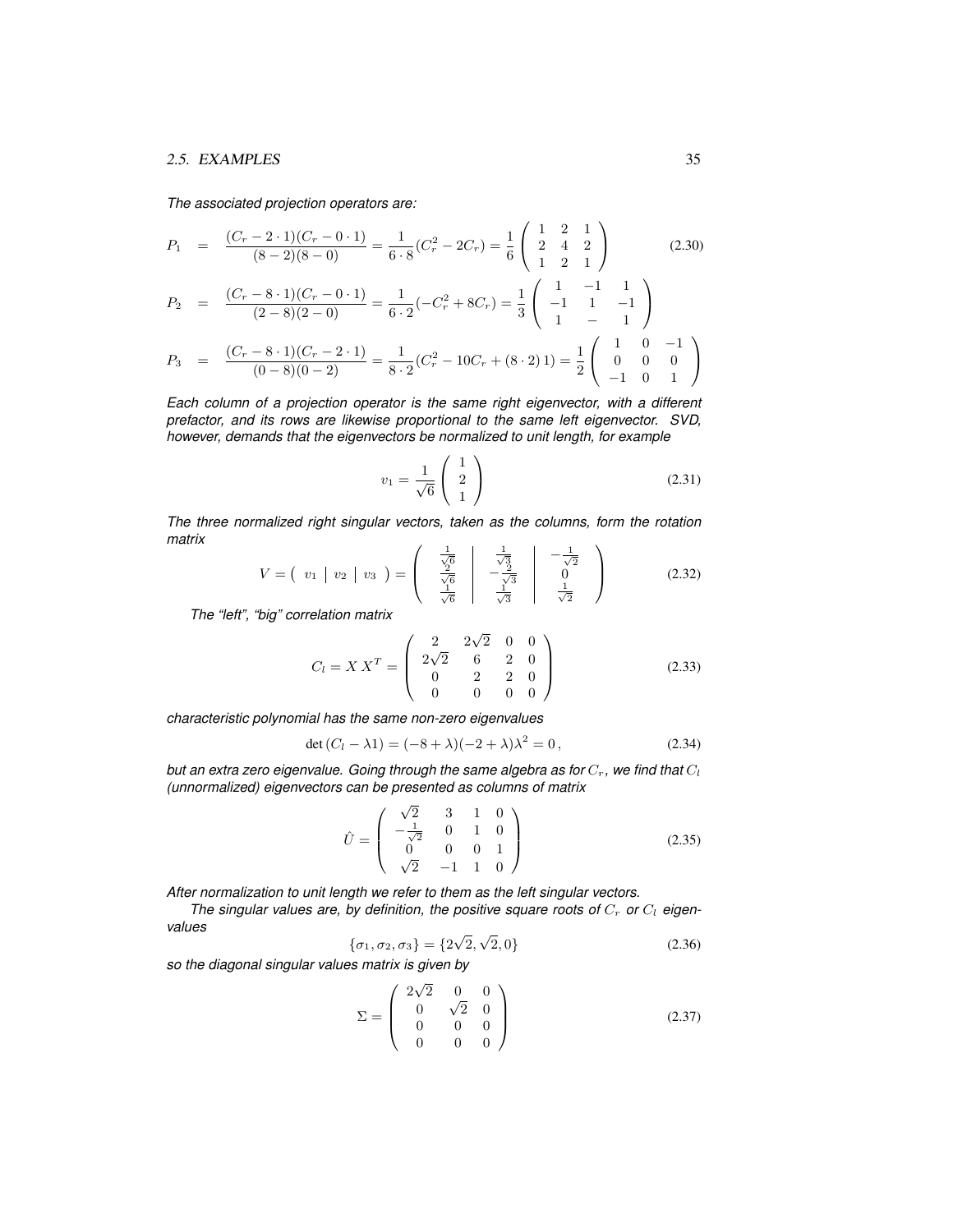*The associated projection operators are:*

$$
P_1 = \frac{(C_r - 2 \cdot 1)(C_r - 0 \cdot 1)}{(8 - 2)(8 - 0)} = \frac{1}{6 \cdot 8}(C_r^2 - 2C_r) = \frac{1}{6} \begin{pmatrix} 1 & 2 & 1 \ 2 & 4 & 2 \ 1 & 2 & 1 \end{pmatrix}
$$
(2.30)  
\n
$$
P_2 = \frac{(C_r - 8 \cdot 1)(C_r - 0 \cdot 1)}{(2 - 8)(2 - 0)} = \frac{1}{6 \cdot 2}(-C_r^2 + 8C_r) = \frac{1}{3} \begin{pmatrix} 1 & -1 & 1 \ -1 & 1 & -1 \ 1 & -1 & 1 \end{pmatrix}
$$
  
\n
$$
P_3 = \frac{(C_r - 8 \cdot 1)(C_r - 2 \cdot 1)}{(0 - 8)(0 - 2)} = \frac{1}{8 \cdot 2}(C_r^2 - 10C_r + (8 \cdot 2)1) = \frac{1}{2} \begin{pmatrix} 1 & 0 & -1 \ 0 & 0 & 0 \ -1 & 0 & 1 \end{pmatrix}
$$

*Each column of a projection operator is the same right eigenvector, with a different prefactor, and its rows are likewise proportional to the same left eigenvector. SVD, however, demands that the eigenvectors be normalized to unit length, for example*

$$
v_1 = \frac{1}{\sqrt{6}} \begin{pmatrix} 1 \\ 2 \\ 1 \end{pmatrix} \tag{2.31}
$$

*The three normalized right singular vectors, taken as the columns, form the rotation matrix*

<span id="page-12-0"></span>
$$
V = \begin{pmatrix} v_1 & v_2 & v_3 \end{pmatrix} = \begin{pmatrix} \frac{1}{\sqrt{6}} & \frac{1}{\sqrt{3}} \\ \frac{2}{\sqrt{6}} & -\frac{2}{\sqrt{3}} \\ \frac{1}{\sqrt{6}} & \frac{1}{\sqrt{3}} \end{pmatrix} \begin{pmatrix} -\frac{1}{\sqrt{2}} \\ 0 \\ \frac{1}{\sqrt{2}} \end{pmatrix}
$$
(2.32)

*The "left", "big" correlation matrix*

$$
C_l = X X^T = \begin{pmatrix} 2 & 2\sqrt{2} & 0 & 0 \\ 2\sqrt{2} & 6 & 2 & 0 \\ 0 & 2 & 2 & 0 \\ 0 & 0 & 0 & 0 \end{pmatrix}
$$
 (2.33)

*characteristic polynomial has the same non-zero eigenvalues*

$$
\det (C_l - \lambda 1) = (-8 + \lambda)(-2 + \lambda)\lambda^2 = 0, \qquad (2.34)
$$

*but an extra zero eigenvalue. Going through the same algebra as for*  $C_r$ , we find that  $C_l$ *(unnormalized) eigenvectors can be presented as columns of matrix*

<span id="page-12-2"></span>
$$
\hat{U} = \begin{pmatrix}\n\sqrt{2} & 3 & 1 & 0 \\
-\frac{1}{\sqrt{2}} & 0 & 1 & 0 \\
0 & 0 & 0 & 1 \\
\sqrt{2} & -1 & 1 & 0\n\end{pmatrix}
$$
\n(2.35)

*After normalization to unit length we refer to them as the left singular vectors.*

The singular values are, by definition, the positive square roots of  $C_r$  or  $C_l$  eigen*values* √ √

$$
\{\sigma_1, \sigma_2, \sigma_3\} = \{2\sqrt{2}, \sqrt{2}, 0\}
$$
 (2.36)

*so the diagonal singular values matrix is given by*

<span id="page-12-1"></span>
$$
\Sigma = \begin{pmatrix} 2\sqrt{2} & 0 & 0 \\ 0 & \sqrt{2} & 0 \\ 0 & 0 & 0 \\ 0 & 0 & 0 \end{pmatrix}
$$
 (2.37)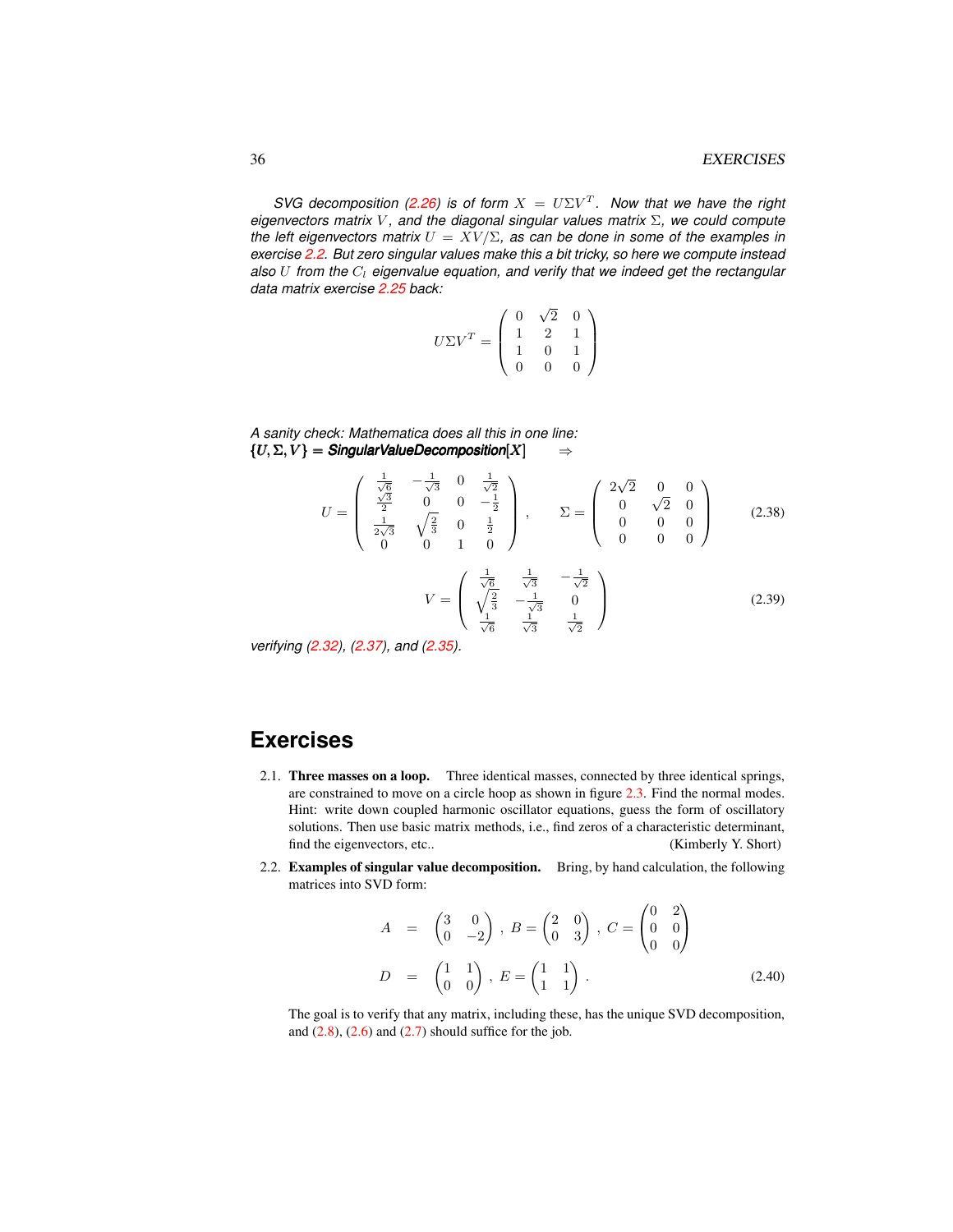*SVG decomposition [\(2.26\)](#page-11-0)* is of form  $X = U\Sigma V^{T}$ . Now that we have the right *eigenvectors matrix* V *, and the diagonal singular values matrix* Σ*, we could compute the left eigenvectors matrix*  $U = XV/\Sigma$ , as can be done in some of the examples in *exercise [2.2.](#page-13-1) But zero singular values make this a bit tricky, so here we compute instead* also U from the  $C_l$  eigenvalue equation, and verify that we indeed get the rectangular *data matrix exercise [2.25](#page-11-1) back:*

$$
U\Sigma V^T = \left(\begin{array}{ccc} 0 & \sqrt{2} & 0 \\ 1 & 2 & 1 \\ 1 & 0 & 1 \\ 0 & 0 & 0 \end{array}\right)
$$

*A sanity check: Mathematica does all this in one line:*  ${U, \Sigma, V} =$  *Singular ValueDecomposition*[X]  $\Rightarrow$ 

$$
U = \begin{pmatrix} \frac{1}{\sqrt{6}} & -\frac{1}{\sqrt{3}} & 0 & \frac{1}{\sqrt{2}} \\ \frac{\sqrt{3}}{2} & 0 & 0 & -\frac{1}{2} \\ \frac{1}{2\sqrt{3}} & \sqrt{\frac{2}{3}} & 0 & \frac{1}{2} \\ 0 & 0 & 1 & 0 \end{pmatrix}, \qquad \Sigma = \begin{pmatrix} 2\sqrt{2} & 0 & 0 \\ 0 & \sqrt{2} & 0 \\ 0 & 0 & 0 \\ 0 & 0 & 0 \end{pmatrix}
$$
(2.38)  

$$
V = \begin{pmatrix} \frac{1}{\sqrt{6}} & \frac{1}{\sqrt{3}} & -\frac{1}{\sqrt{2}} \\ \sqrt{\frac{2}{3}} & -\frac{1}{\sqrt{3}} & 0 \\ \frac{1}{\sqrt{6}} & \frac{1}{\sqrt{3}} & \frac{1}{\sqrt{2}} \end{pmatrix}
$$
(2.39)

*verifying [\(2.32\)](#page-12-0), [\(2.37\)](#page-12-1), and [\(2.35\)](#page-12-2).*

## **Exercises**

- <span id="page-13-0"></span>2.1. Three masses on a loop. Three identical masses, connected by three identical springs, are constrained to move on a circle hoop as shown in figure [2.3.](#page-14-0) Find the normal modes. Hint: write down coupled harmonic oscillator equations, guess the form of oscillatory solutions. Then use basic matrix methods, i.e., find zeros of a characteristic determinant, find the eigenvectors, etc.. (Kimberly Y. Short)
- <span id="page-13-1"></span>2.2. **Examples of singular value decomposition.** Bring, by hand calculation, the following matrices into SVD form:

$$
A = \begin{pmatrix} 3 & 0 \\ 0 & -2 \end{pmatrix}, B = \begin{pmatrix} 2 & 0 \\ 0 & 3 \end{pmatrix}, C = \begin{pmatrix} 0 & 2 \\ 0 & 0 \\ 0 & 0 \end{pmatrix}
$$

$$
D = \begin{pmatrix} 1 & 1 \\ 0 & 0 \end{pmatrix}, E = \begin{pmatrix} 1 & 1 \\ 1 & 1 \end{pmatrix}. \tag{2.40}
$$

The goal is to verify that any matrix, including these, has the unique SVD decomposition, and  $(2.8)$ ,  $(2.6)$  and  $(2.7)$  should suffice for the job.